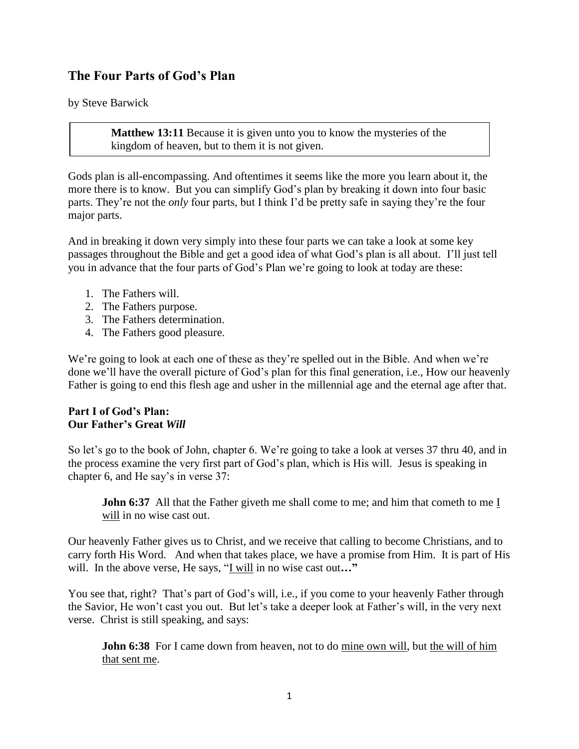# **The Four Parts of God's Plan**

by Steve Barwick

**Matthew 13:11** Because it is given unto you to know the mysteries of the kingdom of heaven, but to them it is not given.

Gods plan is all-encompassing. And oftentimes it seems like the more you learn about it, the more there is to know. But you can simplify God's plan by breaking it down into four basic parts. They're not the *only* four parts, but I think I'd be pretty safe in saying they're the four major parts.

And in breaking it down very simply into these four parts we can take a look at some key passages throughout the Bible and get a good idea of what God's plan is all about. I'll just tell you in advance that the four parts of God's Plan we're going to look at today are these:

- 1. The Fathers will.
- 2. The Fathers purpose.
- 3. The Fathers determination.
- 4. The Fathers good pleasure.

We're going to look at each one of these as they're spelled out in the Bible. And when we're done we'll have the overall picture of God's plan for this final generation, i.e., How our heavenly Father is going to end this flesh age and usher in the millennial age and the eternal age after that.

#### **Part I of God's Plan: Our Father's Great** *Will*

So let's go to the book of John, chapter 6. We're going to take a look at verses 37 thru 40, and in the process examine the very first part of God's plan, which is His will. Jesus is speaking in chapter 6, and He say's in verse 37:

**John 6:37** All that the Father giveth me shall come to me; and him that cometh to me I will in no wise cast out.

Our heavenly Father gives us to Christ, and we receive that calling to become Christians, and to carry forth His Word. And when that takes place, we have a promise from Him. It is part of His will. In the above verse, He says, "I will in no wise cast out**…"** 

You see that, right? That's part of God's will, i.e., if you come to your heavenly Father through the Savior, He won't cast you out. But let's take a deeper look at Father's will, in the very next verse. Christ is still speaking, and says:

**John 6:38** For I came down from heaven, not to do mine own will, but the will of him that sent me.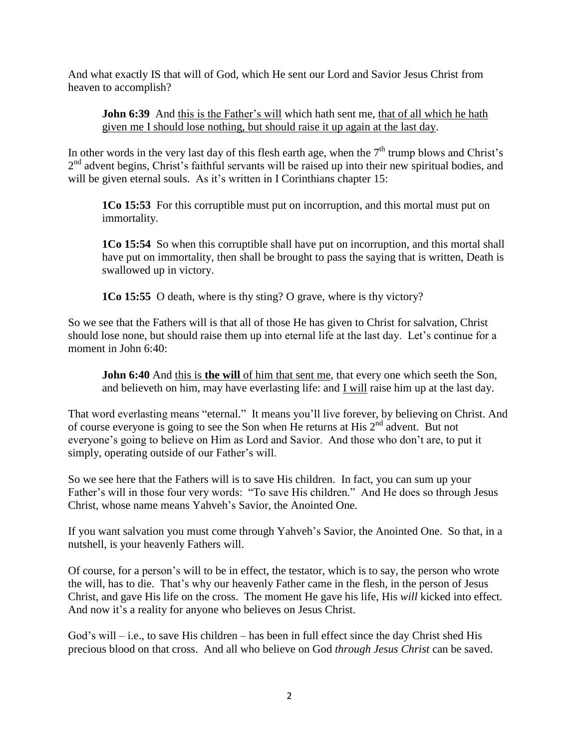And what exactly IS that will of God, which He sent our Lord and Savior Jesus Christ from heaven to accomplish?

**John 6:39** And this is the Father's will which hath sent me, that of all which he hath given me I should lose nothing, but should raise it up again at the last day.

In other words in the very last day of this flesh earth age, when the  $7<sup>th</sup>$  trump blows and Christ's 2<sup>nd</sup> advent begins, Christ's faithful servants will be raised up into their new spiritual bodies, and will be given eternal souls. As it's written in I Corinthians chapter 15:

**1Co 15:53** For this corruptible must put on incorruption, and this mortal must put on immortality.

**1Co 15:54** So when this corruptible shall have put on incorruption, and this mortal shall have put on immortality, then shall be brought to pass the saying that is written, Death is swallowed up in victory.

**1Co 15:55** O death, where is thy sting? O grave, where is thy victory?

So we see that the Fathers will is that all of those He has given to Christ for salvation, Christ should lose none, but should raise them up into eternal life at the last day. Let's continue for a moment in John 6:40:

**John 6:40** And this is **the will** of him that sent me, that every one which seeth the Son, and believeth on him, may have everlasting life: and  $I$  will raise him up at the last day.

That word everlasting means "eternal." It means you'll live forever, by believing on Christ. And of course everyone is going to see the Son when He returns at His 2nd advent. But not everyone's going to believe on Him as Lord and Savior. And those who don't are, to put it simply, operating outside of our Father's will.

So we see here that the Fathers will is to save His children. In fact, you can sum up your Father's will in those four very words: "To save His children." And He does so through Jesus Christ, whose name means Yahveh's Savior, the Anointed One.

If you want salvation you must come through Yahveh's Savior, the Anointed One. So that, in a nutshell, is your heavenly Fathers will.

Of course, for a person's will to be in effect, the testator, which is to say, the person who wrote the will, has to die. That's why our heavenly Father came in the flesh, in the person of Jesus Christ, and gave His life on the cross. The moment He gave his life, His *will* kicked into effect. And now it's a reality for anyone who believes on Jesus Christ.

God's will – i.e., to save His children – has been in full effect since the day Christ shed His precious blood on that cross. And all who believe on God *through Jesus Christ* can be saved.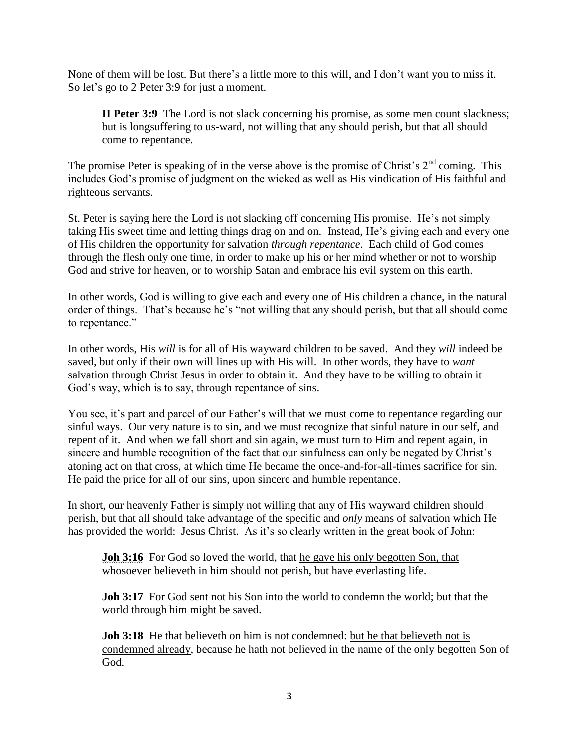None of them will be lost. But there's a little more to this will, and I don't want you to miss it. So let's go to 2 Peter 3:9 for just a moment.

**II Peter 3:9** The Lord is not slack concerning his promise, as some men count slackness; but is longsuffering to us-ward, not willing that any should perish, but that all should come to repentance.

The promise Peter is speaking of in the verse above is the promise of Christ's  $2<sup>nd</sup>$  coming. This includes God's promise of judgment on the wicked as well as His vindication of His faithful and righteous servants.

St. Peter is saying here the Lord is not slacking off concerning His promise. He's not simply taking His sweet time and letting things drag on and on. Instead, He's giving each and every one of His children the opportunity for salvation *through repentance*. Each child of God comes through the flesh only one time, in order to make up his or her mind whether or not to worship God and strive for heaven, or to worship Satan and embrace his evil system on this earth.

In other words, God is willing to give each and every one of His children a chance, in the natural order of things. That's because he's "not willing that any should perish, but that all should come to repentance."

In other words, His *will* is for all of His wayward children to be saved. And they *will* indeed be saved, but only if their own will lines up with His will. In other words, they have to *want* salvation through Christ Jesus in order to obtain it. And they have to be willing to obtain it God's way, which is to say, through repentance of sins.

You see, it's part and parcel of our Father's will that we must come to repentance regarding our sinful ways. Our very nature is to sin, and we must recognize that sinful nature in our self, and repent of it. And when we fall short and sin again, we must turn to Him and repent again, in sincere and humble recognition of the fact that our sinfulness can only be negated by Christ's atoning act on that cross, at which time He became the once-and-for-all-times sacrifice for sin. He paid the price for all of our sins, upon sincere and humble repentance.

In short, our heavenly Father is simply not willing that any of His wayward children should perish, but that all should take advantage of the specific and *only* means of salvation which He has provided the world: Jesus Christ. As it's so clearly written in the great book of John:

**Joh 3:16** For God so loved the world, that he gave his only begotten Son, that whosoever believeth in him should not perish, but have everlasting life.

**Joh 3:17** For God sent not his Son into the world to condemn the world; but that the world through him might be saved.

**Joh 3:18** He that believeth on him is not condemned: but he that believeth not is condemned already, because he hath not believed in the name of the only begotten Son of God.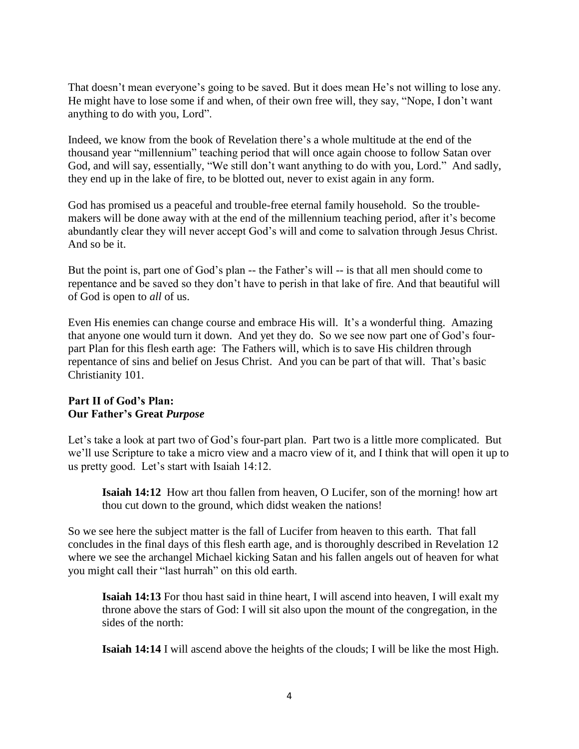That doesn't mean everyone's going to be saved. But it does mean He's not willing to lose any. He might have to lose some if and when, of their own free will, they say, "Nope, I don't want anything to do with you, Lord".

Indeed, we know from the book of Revelation there's a whole multitude at the end of the thousand year "millennium" teaching period that will once again choose to follow Satan over God, and will say, essentially, "We still don't want anything to do with you, Lord." And sadly, they end up in the lake of fire, to be blotted out, never to exist again in any form.

God has promised us a peaceful and trouble-free eternal family household. So the troublemakers will be done away with at the end of the millennium teaching period, after it's become abundantly clear they will never accept God's will and come to salvation through Jesus Christ. And so be it.

But the point is, part one of God's plan -- the Father's will -- is that all men should come to repentance and be saved so they don't have to perish in that lake of fire. And that beautiful will of God is open to *all* of us.

Even His enemies can change course and embrace His will. It's a wonderful thing. Amazing that anyone one would turn it down. And yet they do. So we see now part one of God's fourpart Plan for this flesh earth age: The Fathers will, which is to save His children through repentance of sins and belief on Jesus Christ. And you can be part of that will. That's basic Christianity 101.

### **Part II of God's Plan: Our Father's Great** *Purpose*

Let's take a look at part two of God's four-part plan. Part two is a little more complicated. But we'll use Scripture to take a micro view and a macro view of it, and I think that will open it up to us pretty good. Let's start with Isaiah 14:12.

**Isaiah 14:12** How art thou fallen from heaven, O Lucifer, son of the morning! how art thou cut down to the ground, which didst weaken the nations!

So we see here the subject matter is the fall of Lucifer from heaven to this earth. That fall concludes in the final days of this flesh earth age, and is thoroughly described in Revelation 12 where we see the archangel Michael kicking Satan and his fallen angels out of heaven for what you might call their "last hurrah" on this old earth.

**Isaiah 14:13** For thou hast said in thine heart, I will ascend into heaven, I will exalt my throne above the stars of God: I will sit also upon the mount of the congregation, in the sides of the north:

**Isaiah 14:14** I will ascend above the heights of the clouds; I will be like the most High.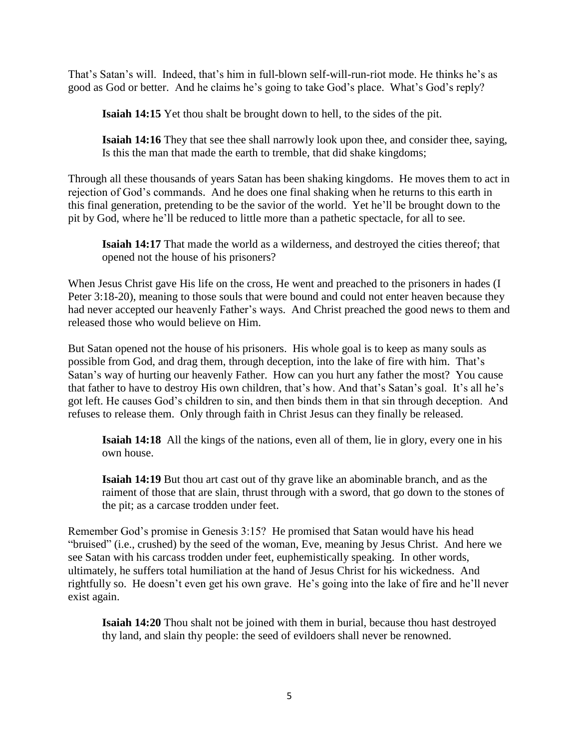That's Satan's will. Indeed, that's him in full-blown self-will-run-riot mode. He thinks he's as good as God or better. And he claims he's going to take God's place. What's God's reply?

**Isaiah 14:15** Yet thou shalt be brought down to hell, to the sides of the pit.

**Isaiah 14:16** They that see thee shall narrowly look upon thee, and consider thee, saying, Is this the man that made the earth to tremble, that did shake kingdoms;

Through all these thousands of years Satan has been shaking kingdoms. He moves them to act in rejection of God's commands. And he does one final shaking when he returns to this earth in this final generation, pretending to be the savior of the world. Yet he'll be brought down to the pit by God, where he'll be reduced to little more than a pathetic spectacle, for all to see.

**Isaiah 14:17** That made the world as a wilderness, and destroyed the cities thereof; that opened not the house of his prisoners?

When Jesus Christ gave His life on the cross, He went and preached to the prisoners in hades (I Peter 3:18-20), meaning to those souls that were bound and could not enter heaven because they had never accepted our heavenly Father's ways. And Christ preached the good news to them and released those who would believe on Him.

But Satan opened not the house of his prisoners. His whole goal is to keep as many souls as possible from God, and drag them, through deception, into the lake of fire with him. That's Satan's way of hurting our heavenly Father. How can you hurt any father the most? You cause that father to have to destroy His own children, that's how. And that's Satan's goal. It's all he's got left. He causes God's children to sin, and then binds them in that sin through deception. And refuses to release them. Only through faith in Christ Jesus can they finally be released.

**Isaiah 14:18** All the kings of the nations, even all of them, lie in glory, every one in his own house.

**Isaiah 14:19** But thou art cast out of thy grave like an abominable branch, and as the raiment of those that are slain, thrust through with a sword, that go down to the stones of the pit; as a carcase trodden under feet.

Remember God's promise in Genesis 3:15? He promised that Satan would have his head "bruised" (i.e., crushed) by the seed of the woman, Eve, meaning by Jesus Christ. And here we see Satan with his carcass trodden under feet, euphemistically speaking. In other words, ultimately, he suffers total humiliation at the hand of Jesus Christ for his wickedness. And rightfully so. He doesn't even get his own grave. He's going into the lake of fire and he'll never exist again.

**Isaiah 14:20** Thou shalt not be joined with them in burial, because thou hast destroyed thy land, and slain thy people: the seed of evildoers shall never be renowned.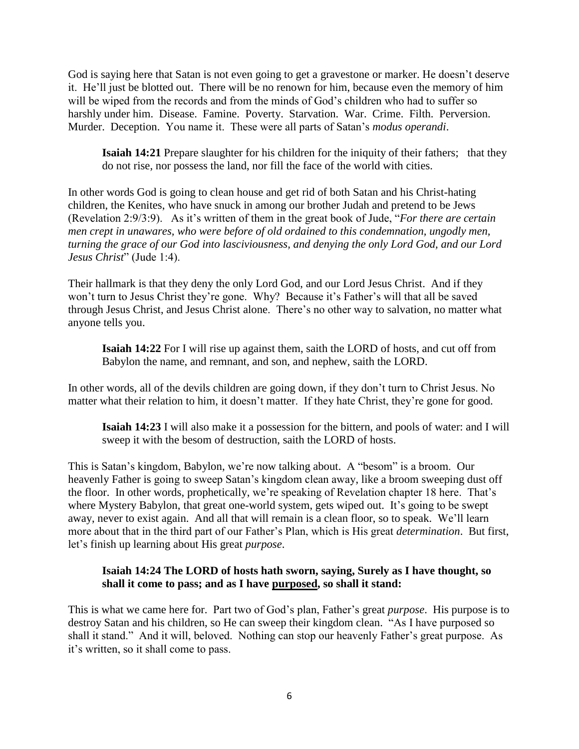God is saying here that Satan is not even going to get a gravestone or marker. He doesn't deserve it. He'll just be blotted out. There will be no renown for him, because even the memory of him will be wiped from the records and from the minds of God's children who had to suffer so harshly under him. Disease. Famine. Poverty. Starvation. War. Crime. Filth. Perversion. Murder. Deception. You name it. These were all parts of Satan's *modus operandi*.

**Isaiah 14:21** Prepare slaughter for his children for the iniquity of their fathers; that they do not rise, nor possess the land, nor fill the face of the world with cities.

In other words God is going to clean house and get rid of both Satan and his Christ-hating children, the Kenites, who have snuck in among our brother Judah and pretend to be Jews (Revelation 2:9/3:9). As it's written of them in the great book of Jude, "*For there are certain men crept in unawares, who were before of old ordained to this condemnation, ungodly men, turning the grace of our God into lasciviousness, and denying the only Lord God, and our Lord Jesus Christ*" (Jude 1:4).

Their hallmark is that they deny the only Lord God, and our Lord Jesus Christ. And if they won't turn to Jesus Christ they're gone. Why? Because it's Father's will that all be saved through Jesus Christ, and Jesus Christ alone. There's no other way to salvation, no matter what anyone tells you.

**Isaiah 14:22** For I will rise up against them, saith the LORD of hosts, and cut off from Babylon the name, and remnant, and son, and nephew, saith the LORD.

In other words, all of the devils children are going down, if they don't turn to Christ Jesus. No matter what their relation to him, it doesn't matter. If they hate Christ, they're gone for good.

**Isaiah 14:23** I will also make it a possession for the bittern, and pools of water: and I will sweep it with the besom of destruction, saith the LORD of hosts.

This is Satan's kingdom, Babylon, we're now talking about. A "besom" is a broom. Our heavenly Father is going to sweep Satan's kingdom clean away, like a broom sweeping dust off the floor. In other words, prophetically, we're speaking of Revelation chapter 18 here. That's where Mystery Babylon, that great one-world system, gets wiped out. It's going to be swept away, never to exist again. And all that will remain is a clean floor, so to speak. We'll learn more about that in the third part of our Father's Plan, which is His great *determination*. But first, let's finish up learning about His great *purpose*.

### **Isaiah 14:24 The LORD of hosts hath sworn, saying, Surely as I have thought, so shall it come to pass; and as I have purposed, so shall it stand:**

This is what we came here for. Part two of God's plan, Father's great *purpose*. His purpose is to destroy Satan and his children, so He can sweep their kingdom clean. "As I have purposed so shall it stand." And it will, beloved. Nothing can stop our heavenly Father's great purpose. As it's written, so it shall come to pass.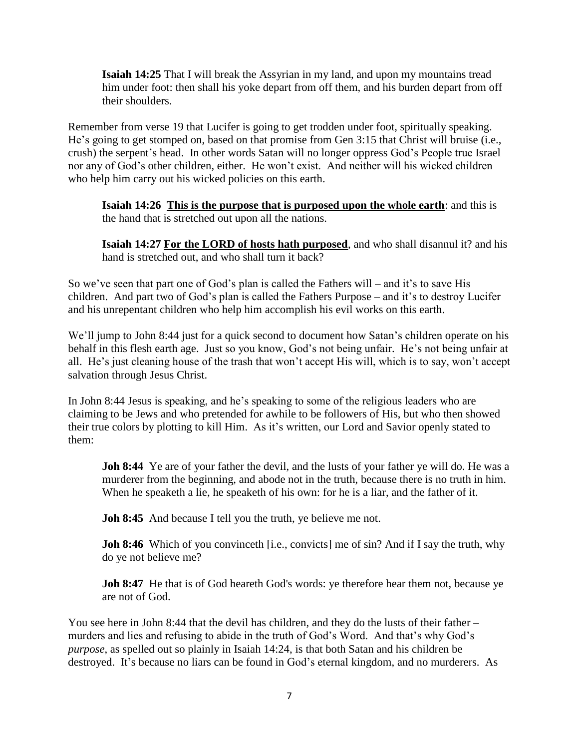**Isaiah 14:25** That I will break the Assyrian in my land, and upon my mountains tread him under foot: then shall his yoke depart from off them, and his burden depart from off their shoulders.

Remember from verse 19 that Lucifer is going to get trodden under foot, spiritually speaking. He's going to get stomped on, based on that promise from Gen 3:15 that Christ will bruise (i.e., crush) the serpent's head. In other words Satan will no longer oppress God's People true Israel nor any of God's other children, either. He won't exist. And neither will his wicked children who help him carry out his wicked policies on this earth.

**Isaiah 14:26 This is the purpose that is purposed upon the whole earth**: and this is the hand that is stretched out upon all the nations.

**Isaiah 14:27 For the LORD of hosts hath purposed**, and who shall disannul it? and his hand is stretched out, and who shall turn it back?

So we've seen that part one of God's plan is called the Fathers will – and it's to save His children. And part two of God's plan is called the Fathers Purpose – and it's to destroy Lucifer and his unrepentant children who help him accomplish his evil works on this earth.

We'll jump to John 8:44 just for a quick second to document how Satan's children operate on his behalf in this flesh earth age. Just so you know, God's not being unfair. He's not being unfair at all. He's just cleaning house of the trash that won't accept His will, which is to say, won't accept salvation through Jesus Christ.

In John 8:44 Jesus is speaking, and he's speaking to some of the religious leaders who are claiming to be Jews and who pretended for awhile to be followers of His, but who then showed their true colors by plotting to kill Him. As it's written, our Lord and Savior openly stated to them:

**Joh 8:44** Ye are of your father the devil, and the lusts of your father ye will do. He was a murderer from the beginning, and abode not in the truth, because there is no truth in him. When he speaketh a lie, he speaketh of his own: for he is a liar, and the father of it.

**Joh 8:45** And because I tell you the truth, ye believe me not.

**Joh 8:46** Which of you convinceth [i.e., convicts] me of sin? And if I say the truth, why do ye not believe me?

**Joh 8:47** He that is of God heareth God's words: ye therefore hear them not, because ye are not of God.

You see here in John 8:44 that the devil has children, and they do the lusts of their father – murders and lies and refusing to abide in the truth of God's Word. And that's why God's *purpose*, as spelled out so plainly in Isaiah 14:24, is that both Satan and his children be destroyed. It's because no liars can be found in God's eternal kingdom, and no murderers. As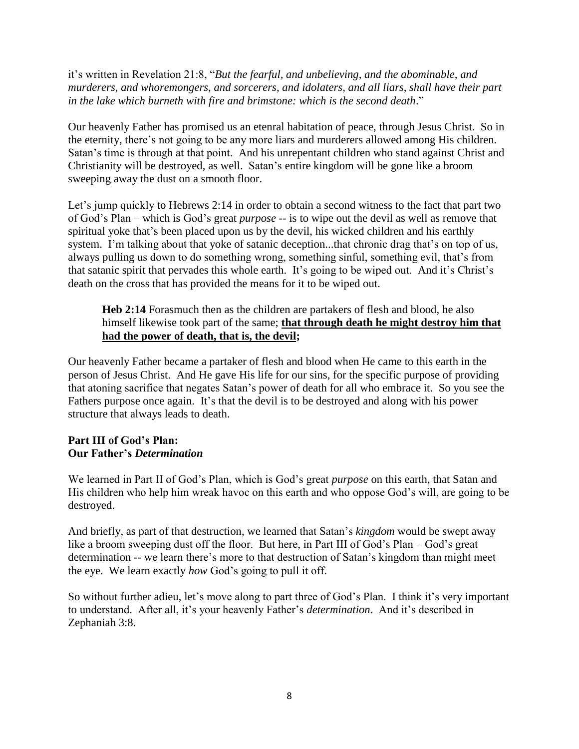it's written in Revelation 21:8, "*But the fearful, and unbelieving, and the abominable, and murderers, and whoremongers, and sorcerers, and idolaters, and all liars, shall have their part in the lake which burneth with fire and brimstone: which is the second death*."

Our heavenly Father has promised us an etenral habitation of peace, through Jesus Christ. So in the eternity, there's not going to be any more liars and murderers allowed among His children. Satan's time is through at that point. And his unrepentant children who stand against Christ and Christianity will be destroyed, as well. Satan's entire kingdom will be gone like a broom sweeping away the dust on a smooth floor.

Let's jump quickly to Hebrews 2:14 in order to obtain a second witness to the fact that part two of God's Plan – which is God's great *purpose* -- is to wipe out the devil as well as remove that spiritual yoke that's been placed upon us by the devil, his wicked children and his earthly system. I'm talking about that yoke of satanic deception...that chronic drag that's on top of us, always pulling us down to do something wrong, something sinful, something evil, that's from that satanic spirit that pervades this whole earth. It's going to be wiped out. And it's Christ's death on the cross that has provided the means for it to be wiped out.

**Heb 2:14** Forasmuch then as the children are partakers of flesh and blood, he also himself likewise took part of the same; **that through death he might destroy him that had the power of death, that is, the devil;**

Our heavenly Father became a partaker of flesh and blood when He came to this earth in the person of Jesus Christ. And He gave His life for our sins, for the specific purpose of providing that atoning sacrifice that negates Satan's power of death for all who embrace it. So you see the Fathers purpose once again. It's that the devil is to be destroyed and along with his power structure that always leads to death.

## **Part III of God's Plan: Our Father's** *Determination*

We learned in Part II of God's Plan, which is God's great *purpose* on this earth, that Satan and His children who help him wreak havoc on this earth and who oppose God's will, are going to be destroyed.

And briefly, as part of that destruction, we learned that Satan's *kingdom* would be swept away like a broom sweeping dust off the floor. But here, in Part III of God's Plan – God's great determination -- we learn there's more to that destruction of Satan's kingdom than might meet the eye. We learn exactly *how* God's going to pull it off.

So without further adieu, let's move along to part three of God's Plan. I think it's very important to understand. After all, it's your heavenly Father's *determination*. And it's described in Zephaniah 3:8.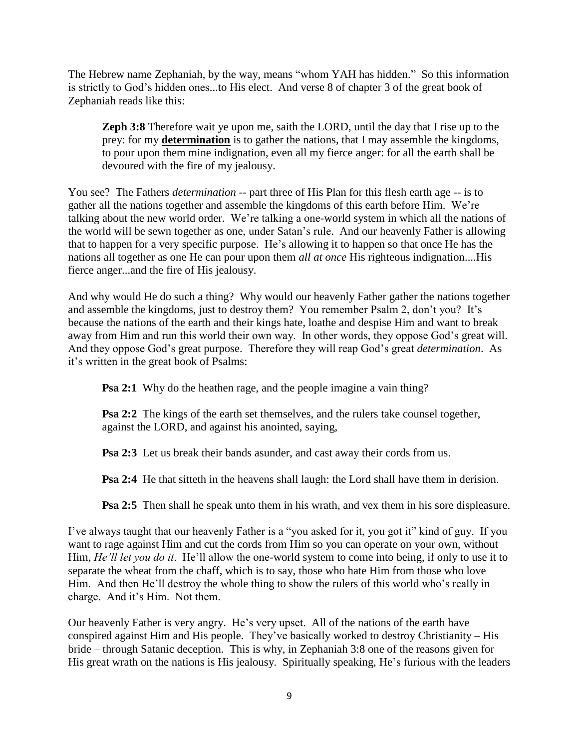The Hebrew name Zephaniah, by the way, means "whom YAH has hidden." So this information is strictly to God's hidden ones...to His elect. And verse 8 of chapter 3 of the great book of Zephaniah reads like this:

**Zeph 3:8** Therefore wait ye upon me, saith the LORD, until the day that I rise up to the prey: for my **determination** is to gather the nations, that I may assemble the kingdoms, to pour upon them mine indignation, even all my fierce anger: for all the earth shall be devoured with the fire of my jealousy.

You see? The Fathers *determination* -- part three of His Plan for this flesh earth age -- is to gather all the nations together and assemble the kingdoms of this earth before Him. We're talking about the new world order. We're talking a one-world system in which all the nations of the world will be sewn together as one, under Satan's rule. And our heavenly Father is allowing that to happen for a very specific purpose. He's allowing it to happen so that once He has the nations all together as one He can pour upon them *all at once* His righteous indignation....His fierce anger...and the fire of His jealousy.

And why would He do such a thing? Why would our heavenly Father gather the nations together and assemble the kingdoms, just to destroy them? You remember Psalm 2, don't you? It's because the nations of the earth and their kings hate, loathe and despise Him and want to break away from Him and run this world their own way. In other words, they oppose God's great will. And they oppose God's great purpose. Therefore they will reap God's great *determination*. As it's written in the great book of Psalms:

**Psa 2:1** Why do the heathen rage, and the people imagine a vain thing?

**Psa 2:2** The kings of the earth set themselves, and the rulers take counsel together, against the LORD, and against his anointed, saying,

**Psa 2:3** Let us break their bands asunder, and cast away their cords from us.

**Psa 2:4** He that sitteth in the heavens shall laugh: the Lord shall have them in derision.

**Psa 2:5** Then shall he speak unto them in his wrath, and vex them in his sore displeasure.

I've always taught that our heavenly Father is a "you asked for it, you got it" kind of guy. If you want to rage against Him and cut the cords from Him so you can operate on your own, without Him, *He'll let you do it*. He'll allow the one-world system to come into being, if only to use it to separate the wheat from the chaff, which is to say, those who hate Him from those who love Him. And then He'll destroy the whole thing to show the rulers of this world who's really in charge. And it's Him. Not them.

Our heavenly Father is very angry. He's very upset. All of the nations of the earth have conspired against Him and His people. They've basically worked to destroy Christianity – His bride – through Satanic deception. This is why, in Zephaniah 3:8 one of the reasons given for His great wrath on the nations is His jealousy. Spiritually speaking, He's furious with the leaders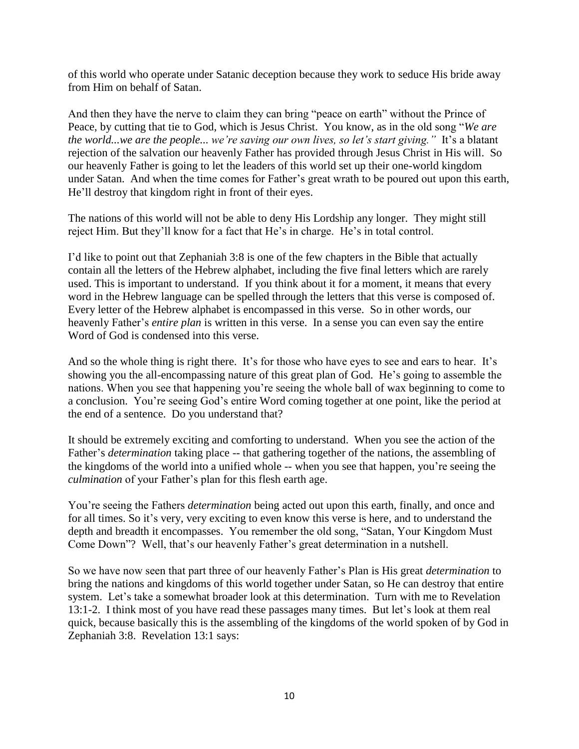of this world who operate under Satanic deception because they work to seduce His bride away from Him on behalf of Satan.

And then they have the nerve to claim they can bring "peace on earth" without the Prince of Peace, by cutting that tie to God, which is Jesus Christ. You know, as in the old song "*We are the world...we are the people... we're saving our own lives, so let's start giving."* It's a blatant rejection of the salvation our heavenly Father has provided through Jesus Christ in His will. So our heavenly Father is going to let the leaders of this world set up their one-world kingdom under Satan. And when the time comes for Father's great wrath to be poured out upon this earth, He'll destroy that kingdom right in front of their eyes.

The nations of this world will not be able to deny His Lordship any longer. They might still reject Him. But they'll know for a fact that He's in charge. He's in total control.

I'd like to point out that Zephaniah 3:8 is one of the few chapters in the Bible that actually contain all the letters of the Hebrew alphabet, including the five final letters which are rarely used. This is important to understand. If you think about it for a moment, it means that every word in the Hebrew language can be spelled through the letters that this verse is composed of. Every letter of the Hebrew alphabet is encompassed in this verse. So in other words, our heavenly Father's *entire plan* is written in this verse. In a sense you can even say the entire Word of God is condensed into this verse.

And so the whole thing is right there. It's for those who have eyes to see and ears to hear. It's showing you the all-encompassing nature of this great plan of God. He's going to assemble the nations. When you see that happening you're seeing the whole ball of wax beginning to come to a conclusion. You're seeing God's entire Word coming together at one point, like the period at the end of a sentence. Do you understand that?

It should be extremely exciting and comforting to understand. When you see the action of the Father's *determination* taking place -- that gathering together of the nations, the assembling of the kingdoms of the world into a unified whole -- when you see that happen, you're seeing the *culmination* of your Father's plan for this flesh earth age.

You're seeing the Fathers *determination* being acted out upon this earth, finally, and once and for all times. So it's very, very exciting to even know this verse is here, and to understand the depth and breadth it encompasses. You remember the old song, "Satan, Your Kingdom Must Come Down"? Well, that's our heavenly Father's great determination in a nutshell.

So we have now seen that part three of our heavenly Father's Plan is His great *determination* to bring the nations and kingdoms of this world together under Satan, so He can destroy that entire system. Let's take a somewhat broader look at this determination. Turn with me to Revelation 13:1-2. I think most of you have read these passages many times. But let's look at them real quick, because basically this is the assembling of the kingdoms of the world spoken of by God in Zephaniah 3:8. Revelation 13:1 says: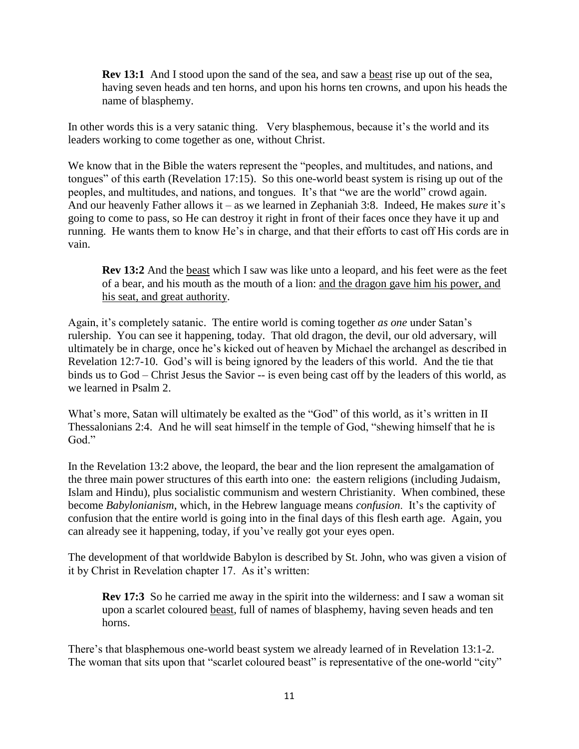**Rev 13:1** And I stood upon the sand of the sea, and saw a beast rise up out of the sea, having seven heads and ten horns, and upon his horns ten crowns, and upon his heads the name of blasphemy.

In other words this is a very satanic thing. Very blasphemous, because it's the world and its leaders working to come together as one, without Christ.

We know that in the Bible the waters represent the "peoples, and multitudes, and nations, and tongues" of this earth (Revelation 17:15). So this one-world beast system is rising up out of the peoples, and multitudes, and nations, and tongues. It's that "we are the world" crowd again. And our heavenly Father allows it – as we learned in Zephaniah 3:8. Indeed, He makes *sure* it's going to come to pass, so He can destroy it right in front of their faces once they have it up and running. He wants them to know He's in charge, and that their efforts to cast off His cords are in vain.

**Rev 13:2** And the beast which I saw was like unto a leopard, and his feet were as the feet of a bear, and his mouth as the mouth of a lion: and the dragon gave him his power, and his seat, and great authority.

Again, it's completely satanic. The entire world is coming together *as one* under Satan's rulership. You can see it happening, today. That old dragon, the devil, our old adversary, will ultimately be in charge, once he's kicked out of heaven by Michael the archangel as described in Revelation 12:7-10. God's will is being ignored by the leaders of this world. And the tie that binds us to God – Christ Jesus the Savior -- is even being cast off by the leaders of this world, as we learned in Psalm 2.

What's more, Satan will ultimately be exalted as the "God" of this world, as it's written in II Thessalonians 2:4. And he will seat himself in the temple of God, "shewing himself that he is God."

In the Revelation 13:2 above, the leopard, the bear and the lion represent the amalgamation of the three main power structures of this earth into one: the eastern religions (including Judaism, Islam and Hindu), plus socialistic communism and western Christianity. When combined, these become *Babylonianism*, which, in the Hebrew language means *confusion*. It's the captivity of confusion that the entire world is going into in the final days of this flesh earth age. Again, you can already see it happening, today, if you've really got your eyes open.

The development of that worldwide Babylon is described by St. John, who was given a vision of it by Christ in Revelation chapter 17. As it's written:

**Rev 17:3** So he carried me away in the spirit into the wilderness: and I saw a woman sit upon a scarlet coloured beast, full of names of blasphemy, having seven heads and ten horns.

There's that blasphemous one-world beast system we already learned of in Revelation 13:1-2. The woman that sits upon that "scarlet coloured beast" is representative of the one-world "city"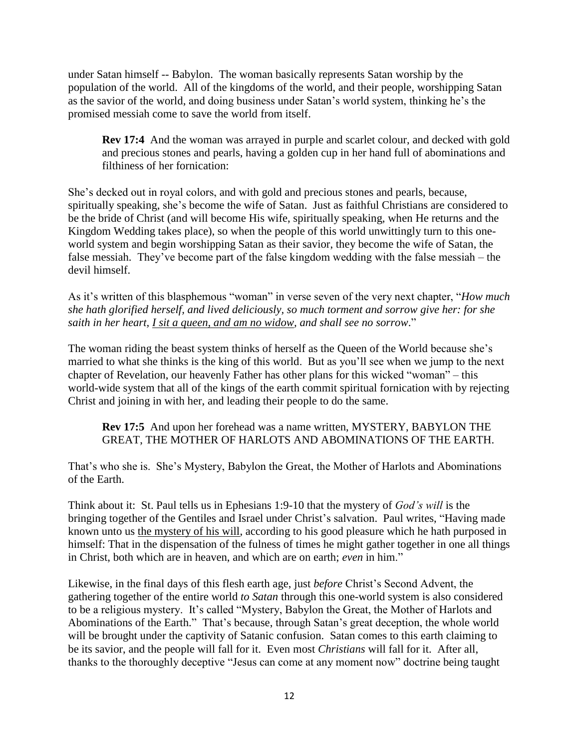under Satan himself -- Babylon. The woman basically represents Satan worship by the population of the world. All of the kingdoms of the world, and their people, worshipping Satan as the savior of the world, and doing business under Satan's world system, thinking he's the promised messiah come to save the world from itself.

**Rev 17:4** And the woman was arrayed in purple and scarlet colour, and decked with gold and precious stones and pearls, having a golden cup in her hand full of abominations and filthiness of her fornication:

She's decked out in royal colors, and with gold and precious stones and pearls, because, spiritually speaking, she's become the wife of Satan. Just as faithful Christians are considered to be the bride of Christ (and will become His wife, spiritually speaking, when He returns and the Kingdom Wedding takes place), so when the people of this world unwittingly turn to this oneworld system and begin worshipping Satan as their savior, they become the wife of Satan, the false messiah. They've become part of the false kingdom wedding with the false messiah – the devil himself.

As it's written of this blasphemous "woman" in verse seven of the very next chapter, "*How much she hath glorified herself, and lived deliciously, so much torment and sorrow give her: for she saith in her heart, I sit a queen, and am no widow, and shall see no sorrow*."

The woman riding the beast system thinks of herself as the Queen of the World because she's married to what she thinks is the king of this world. But as you'll see when we jump to the next chapter of Revelation, our heavenly Father has other plans for this wicked "woman" – this world-wide system that all of the kings of the earth commit spiritual fornication with by rejecting Christ and joining in with her, and leading their people to do the same.

### **Rev 17:5** And upon her forehead was a name written, MYSTERY, BABYLON THE GREAT, THE MOTHER OF HARLOTS AND ABOMINATIONS OF THE EARTH.

That's who she is. She's Mystery, Babylon the Great, the Mother of Harlots and Abominations of the Earth.

Think about it: St. Paul tells us in Ephesians 1:9-10 that the mystery of *God's will* is the bringing together of the Gentiles and Israel under Christ's salvation. Paul writes, "Having made known unto us the mystery of his will, according to his good pleasure which he hath purposed in himself: That in the dispensation of the fulness of times he might gather together in one all things in Christ, both which are in heaven, and which are on earth; *even* in him."

Likewise, in the final days of this flesh earth age, just *before* Christ's Second Advent, the gathering together of the entire world *to Satan* through this one-world system is also considered to be a religious mystery. It's called "Mystery, Babylon the Great, the Mother of Harlots and Abominations of the Earth." That's because, through Satan's great deception, the whole world will be brought under the captivity of Satanic confusion. Satan comes to this earth claiming to be its savior, and the people will fall for it. Even most *Christians* will fall for it. After all, thanks to the thoroughly deceptive "Jesus can come at any moment now" doctrine being taught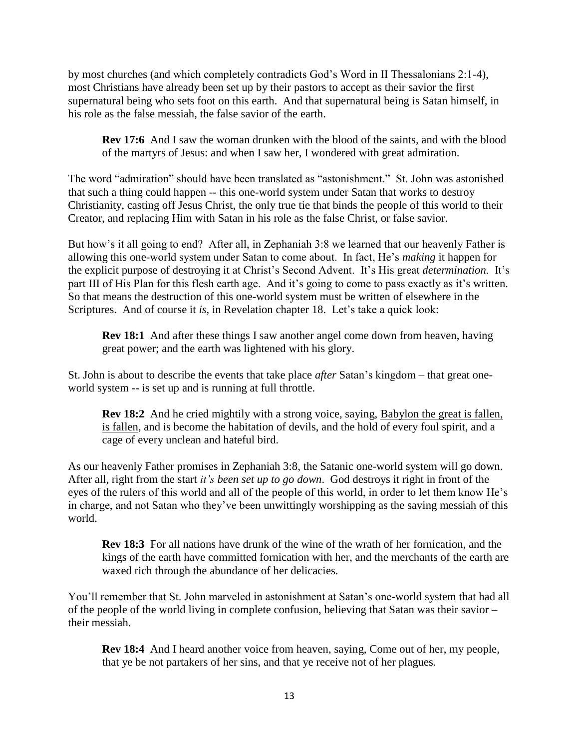by most churches (and which completely contradicts God's Word in II Thessalonians 2:1-4), most Christians have already been set up by their pastors to accept as their savior the first supernatural being who sets foot on this earth. And that supernatural being is Satan himself, in his role as the false messiah, the false savior of the earth.

**Rev 17:6** And I saw the woman drunken with the blood of the saints, and with the blood of the martyrs of Jesus: and when I saw her, I wondered with great admiration.

The word "admiration" should have been translated as "astonishment." St. John was astonished that such a thing could happen -- this one-world system under Satan that works to destroy Christianity, casting off Jesus Christ, the only true tie that binds the people of this world to their Creator, and replacing Him with Satan in his role as the false Christ, or false savior.

But how's it all going to end? After all, in Zephaniah 3:8 we learned that our heavenly Father is allowing this one-world system under Satan to come about. In fact, He's *making* it happen for the explicit purpose of destroying it at Christ's Second Advent. It's His great *determination*. It's part III of His Plan for this flesh earth age. And it's going to come to pass exactly as it's written. So that means the destruction of this one-world system must be written of elsewhere in the Scriptures. And of course it *is*, in Revelation chapter 18. Let's take a quick look:

**Rev 18:1** And after these things I saw another angel come down from heaven, having great power; and the earth was lightened with his glory.

St. John is about to describe the events that take place *after* Satan's kingdom – that great oneworld system -- is set up and is running at full throttle.

**Rev 18:2** And he cried mightily with a strong voice, saying, Babylon the great is fallen, is fallen, and is become the habitation of devils, and the hold of every foul spirit, and a cage of every unclean and hateful bird.

As our heavenly Father promises in Zephaniah 3:8, the Satanic one-world system will go down. After all, right from the start *it's been set up to go down*. God destroys it right in front of the eyes of the rulers of this world and all of the people of this world, in order to let them know He's in charge, and not Satan who they've been unwittingly worshipping as the saving messiah of this world.

**Rev 18:3** For all nations have drunk of the wine of the wrath of her fornication, and the kings of the earth have committed fornication with her, and the merchants of the earth are waxed rich through the abundance of her delicacies.

You'll remember that St. John marveled in astonishment at Satan's one-world system that had all of the people of the world living in complete confusion, believing that Satan was their savior – their messiah.

**Rev 18:4** And I heard another voice from heaven, saying, Come out of her, my people, that ye be not partakers of her sins, and that ye receive not of her plagues.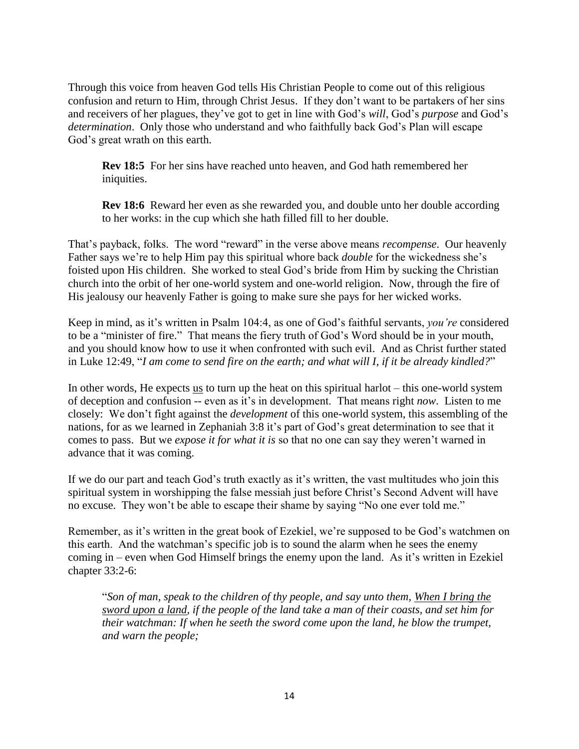Through this voice from heaven God tells His Christian People to come out of this religious confusion and return to Him, through Christ Jesus. If they don't want to be partakers of her sins and receivers of her plagues, they've got to get in line with God's *will*, God's *purpose* and God's *determination*. Only those who understand and who faithfully back God's Plan will escape God's great wrath on this earth.

**Rev 18:5** For her sins have reached unto heaven, and God hath remembered her iniquities.

**Rev 18:6** Reward her even as she rewarded you, and double unto her double according to her works: in the cup which she hath filled fill to her double.

That's payback, folks. The word "reward" in the verse above means *recompense*. Our heavenly Father says we're to help Him pay this spiritual whore back *double* for the wickedness she's foisted upon His children. She worked to steal God's bride from Him by sucking the Christian church into the orbit of her one-world system and one-world religion. Now, through the fire of His jealousy our heavenly Father is going to make sure she pays for her wicked works.

Keep in mind, as it's written in Psalm 104:4, as one of God's faithful servants, *you're* considered to be a "minister of fire." That means the fiery truth of God's Word should be in your mouth, and you should know how to use it when confronted with such evil. And as Christ further stated in Luke 12:49, "*I am come to send fire on the earth; and what will I, if it be already kindled?*"

In other words, He expects us to turn up the heat on this spiritual harlot – this one-world system of deception and confusion -- even as it's in development. That means right *now*. Listen to me closely: We don't fight against the *development* of this one-world system, this assembling of the nations, for as we learned in Zephaniah 3:8 it's part of God's great determination to see that it comes to pass. But we *expose it for what it is* so that no one can say they weren't warned in advance that it was coming.

If we do our part and teach God's truth exactly as it's written, the vast multitudes who join this spiritual system in worshipping the false messiah just before Christ's Second Advent will have no excuse. They won't be able to escape their shame by saying "No one ever told me."

Remember, as it's written in the great book of Ezekiel, we're supposed to be God's watchmen on this earth. And the watchman's specific job is to sound the alarm when he sees the enemy coming in – even when God Himself brings the enemy upon the land. As it's written in Ezekiel chapter 33:2-6:

"*Son of man, speak to the children of thy people, and say unto them, When I bring the sword upon a land, if the people of the land take a man of their coasts, and set him for their watchman: If when he seeth the sword come upon the land, he blow the trumpet, and warn the people;*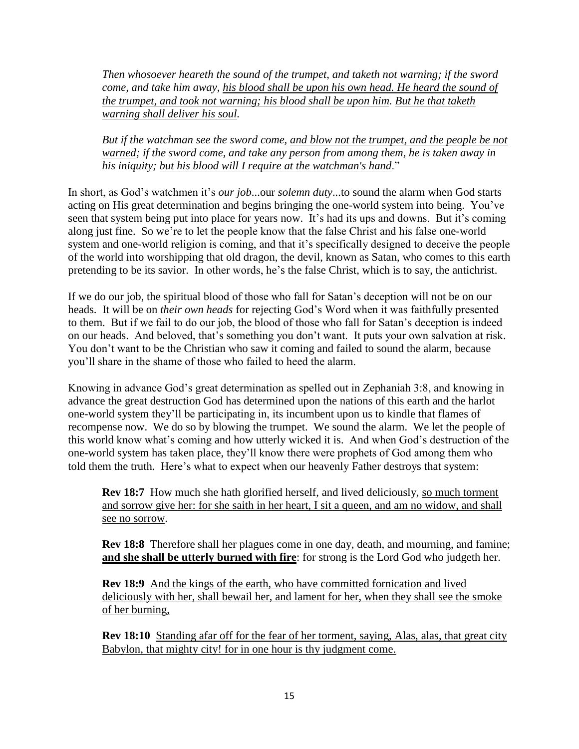*Then whosoever heareth the sound of the trumpet, and taketh not warning; if the sword come, and take him away, his blood shall be upon his own head. He heard the sound of the trumpet, and took not warning; his blood shall be upon him. But he that taketh warning shall deliver his soul.* 

*But if the watchman see the sword come, and blow not the trumpet, and the people be not warned; if the sword come, and take any person from among them, he is taken away in his iniquity; but his blood will I require at the watchman's hand*."

In short, as God's watchmen it's *our job*...our *solemn duty*...to sound the alarm when God starts acting on His great determination and begins bringing the one-world system into being. You've seen that system being put into place for years now. It's had its ups and downs. But it's coming along just fine. So we're to let the people know that the false Christ and his false one-world system and one-world religion is coming, and that it's specifically designed to deceive the people of the world into worshipping that old dragon, the devil, known as Satan, who comes to this earth pretending to be its savior. In other words, he's the false Christ, which is to say, the antichrist.

If we do our job, the spiritual blood of those who fall for Satan's deception will not be on our heads. It will be on *their own heads* for rejecting God's Word when it was faithfully presented to them. But if we fail to do our job, the blood of those who fall for Satan's deception is indeed on our heads. And beloved, that's something you don't want. It puts your own salvation at risk. You don't want to be the Christian who saw it coming and failed to sound the alarm, because you'll share in the shame of those who failed to heed the alarm.

Knowing in advance God's great determination as spelled out in Zephaniah 3:8, and knowing in advance the great destruction God has determined upon the nations of this earth and the harlot one-world system they'll be participating in, its incumbent upon us to kindle that flames of recompense now. We do so by blowing the trumpet. We sound the alarm. We let the people of this world know what's coming and how utterly wicked it is. And when God's destruction of the one-world system has taken place, they'll know there were prophets of God among them who told them the truth. Here's what to expect when our heavenly Father destroys that system:

**Rev 18:7** How much she hath glorified herself, and lived deliciously, so much torment and sorrow give her: for she saith in her heart, I sit a queen, and am no widow, and shall see no sorrow.

**Rev 18:8** Therefore shall her plagues come in one day, death, and mourning, and famine; **and she shall be utterly burned with fire**: for strong is the Lord God who judgeth her.

**Rev 18:9** And the kings of the earth, who have committed fornication and lived deliciously with her, shall bewail her, and lament for her, when they shall see the smoke of her burning,

**Rev 18:10** Standing afar off for the fear of her torment, saying, Alas, alas, that great city Babylon, that mighty city! for in one hour is thy judgment come.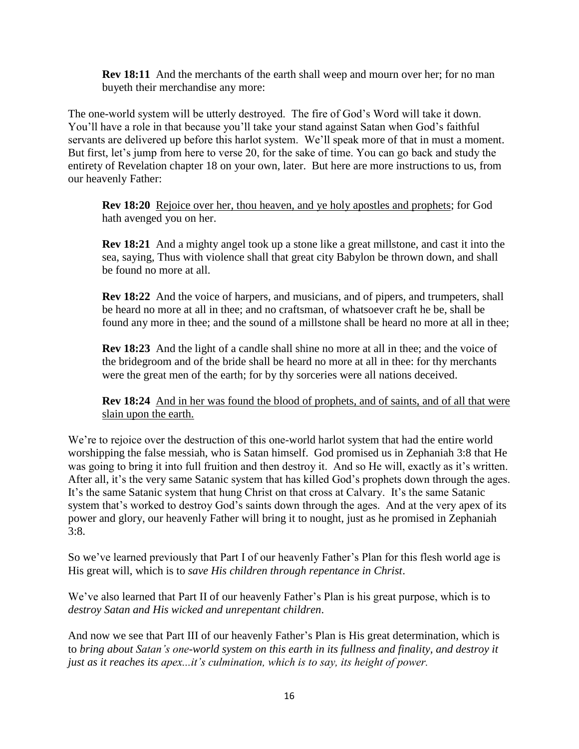**Rev 18:11** And the merchants of the earth shall weep and mourn over her; for no man buyeth their merchandise any more:

The one-world system will be utterly destroyed. The fire of God's Word will take it down. You'll have a role in that because you'll take your stand against Satan when God's faithful servants are delivered up before this harlot system. We'll speak more of that in must a moment. But first, let's jump from here to verse 20, for the sake of time. You can go back and study the entirety of Revelation chapter 18 on your own, later. But here are more instructions to us, from our heavenly Father:

**Rev 18:20** Rejoice over her, thou heaven, and ye holy apostles and prophets; for God hath avenged you on her.

**Rev 18:21** And a mighty angel took up a stone like a great millstone, and cast it into the sea, saying, Thus with violence shall that great city Babylon be thrown down, and shall be found no more at all.

**Rev 18:22** And the voice of harpers, and musicians, and of pipers, and trumpeters, shall be heard no more at all in thee; and no craftsman, of whatsoever craft he be, shall be found any more in thee; and the sound of a millstone shall be heard no more at all in thee;

**Rev 18:23** And the light of a candle shall shine no more at all in thee; and the voice of the bridegroom and of the bride shall be heard no more at all in thee: for thy merchants were the great men of the earth; for by thy sorceries were all nations deceived.

**Rev 18:24** And in her was found the blood of prophets, and of saints, and of all that were slain upon the earth.

We're to rejoice over the destruction of this one-world harlot system that had the entire world worshipping the false messiah, who is Satan himself. God promised us in Zephaniah 3:8 that He was going to bring it into full fruition and then destroy it. And so He will, exactly as it's written. After all, it's the very same Satanic system that has killed God's prophets down through the ages. It's the same Satanic system that hung Christ on that cross at Calvary. It's the same Satanic system that's worked to destroy God's saints down through the ages. And at the very apex of its power and glory, our heavenly Father will bring it to nought, just as he promised in Zephaniah  $3:8.$ 

So we've learned previously that Part I of our heavenly Father's Plan for this flesh world age is His great will, which is to *save His children through repentance in Christ*.

We've also learned that Part II of our heavenly Father's Plan is his great purpose, which is to *destroy Satan and His wicked and unrepentant children*.

And now we see that Part III of our heavenly Father's Plan is His great determination, which is to *bring about Satan's one-world system on this earth in its fullness and finality, and destroy it just as it reaches its apex...it's culmination, which is to say, its height of power.*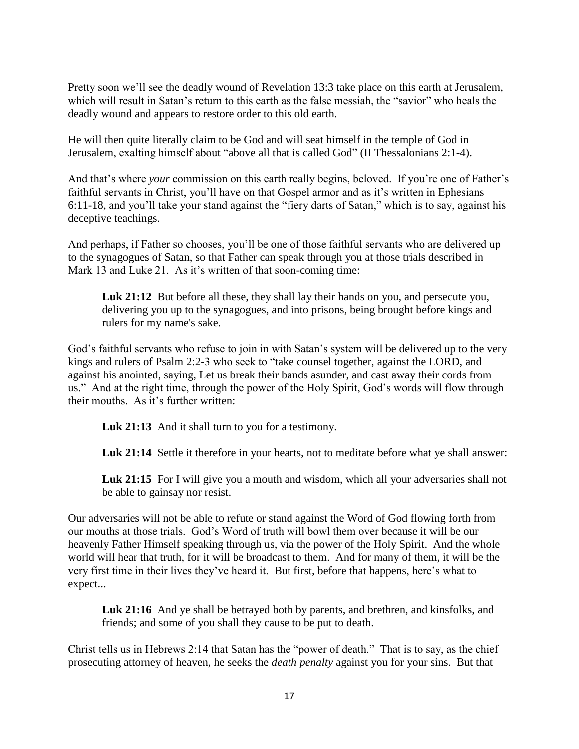Pretty soon we'll see the deadly wound of Revelation 13:3 take place on this earth at Jerusalem, which will result in Satan's return to this earth as the false messiah, the "savior" who heals the deadly wound and appears to restore order to this old earth.

He will then quite literally claim to be God and will seat himself in the temple of God in Jerusalem, exalting himself about "above all that is called God" (II Thessalonians 2:1-4).

And that's where *your* commission on this earth really begins, beloved. If you're one of Father's faithful servants in Christ, you'll have on that Gospel armor and as it's written in Ephesians 6:11-18, and you'll take your stand against the "fiery darts of Satan," which is to say, against his deceptive teachings.

And perhaps, if Father so chooses, you'll be one of those faithful servants who are delivered up to the synagogues of Satan, so that Father can speak through you at those trials described in Mark 13 and Luke 21. As it's written of that soon-coming time:

Luk 21:12 But before all these, they shall lay their hands on you, and persecute you, delivering you up to the synagogues, and into prisons, being brought before kings and rulers for my name's sake.

God's faithful servants who refuse to join in with Satan's system will be delivered up to the very kings and rulers of Psalm 2:2-3 who seek to "take counsel together, against the LORD, and against his anointed, saying*,* Let us break their bands asunder, and cast away their cords from us." And at the right time, through the power of the Holy Spirit, God's words will flow through their mouths. As it's further written:

**Luk 21:13** And it shall turn to you for a testimony.

Luk 21:14 Settle it therefore in your hearts, not to meditate before what ye shall answer:

Luk 21:15 For I will give you a mouth and wisdom, which all your adversaries shall not be able to gainsay nor resist.

Our adversaries will not be able to refute or stand against the Word of God flowing forth from our mouths at those trials. God's Word of truth will bowl them over because it will be our heavenly Father Himself speaking through us, via the power of the Holy Spirit. And the whole world will hear that truth, for it will be broadcast to them. And for many of them, it will be the very first time in their lives they've heard it. But first, before that happens, here's what to expect...

**Luk 21:16** And ye shall be betrayed both by parents, and brethren, and kinsfolks, and friends; and some of you shall they cause to be put to death.

Christ tells us in Hebrews 2:14 that Satan has the "power of death." That is to say, as the chief prosecuting attorney of heaven, he seeks the *death penalty* against you for your sins. But that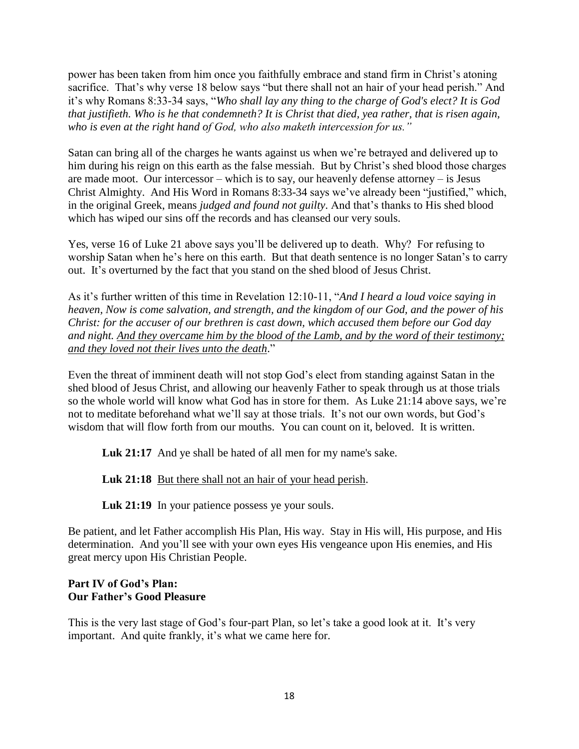power has been taken from him once you faithfully embrace and stand firm in Christ's atoning sacrifice. That's why verse 18 below says "but there shall not an hair of your head perish." And it's why Romans 8:33-34 says, "*Who shall lay any thing to the charge of God's elect? It is God that justifieth. Who is he that condemneth? It is Christ that died, yea rather, that is risen again, who is even at the right hand of God, who also maketh intercession for us."*

Satan can bring all of the charges he wants against us when we're betrayed and delivered up to him during his reign on this earth as the false messiah. But by Christ's shed blood those charges are made moot. Our intercessor – which is to say, our heavenly defense attorney – is Jesus Christ Almighty. And His Word in Romans 8:33-34 says we've already been "justified," which, in the original Greek, means *judged and found not guilty*. And that's thanks to His shed blood which has wiped our sins off the records and has cleansed our very souls.

Yes, verse 16 of Luke 21 above says you'll be delivered up to death. Why? For refusing to worship Satan when he's here on this earth. But that death sentence is no longer Satan's to carry out. It's overturned by the fact that you stand on the shed blood of Jesus Christ.

As it's further written of this time in Revelation 12:10-11, "*And I heard a loud voice saying in heaven, Now is come salvation, and strength, and the kingdom of our God, and the power of his Christ: for the accuser of our brethren is cast down, which accused them before our God day and night. And they overcame him by the blood of the Lamb, and by the word of their testimony; and they loved not their lives unto the death*."

Even the threat of imminent death will not stop God's elect from standing against Satan in the shed blood of Jesus Christ, and allowing our heavenly Father to speak through us at those trials so the whole world will know what God has in store for them. As Luke 21:14 above says, we're not to meditate beforehand what we'll say at those trials. It's not our own words, but God's wisdom that will flow forth from our mouths. You can count on it, beloved. It is written.

**Luk 21:17** And ye shall be hated of all men for my name's sake.

**Luk 21:18** But there shall not an hair of your head perish.

Luk 21:19 In your patience possess ye your souls.

Be patient, and let Father accomplish His Plan, His way. Stay in His will, His purpose, and His determination. And you'll see with your own eyes His vengeance upon His enemies, and His great mercy upon His Christian People.

### **Part IV of God's Plan: Our Father's Good Pleasure**

This is the very last stage of God's four-part Plan, so let's take a good look at it. It's very important. And quite frankly, it's what we came here for.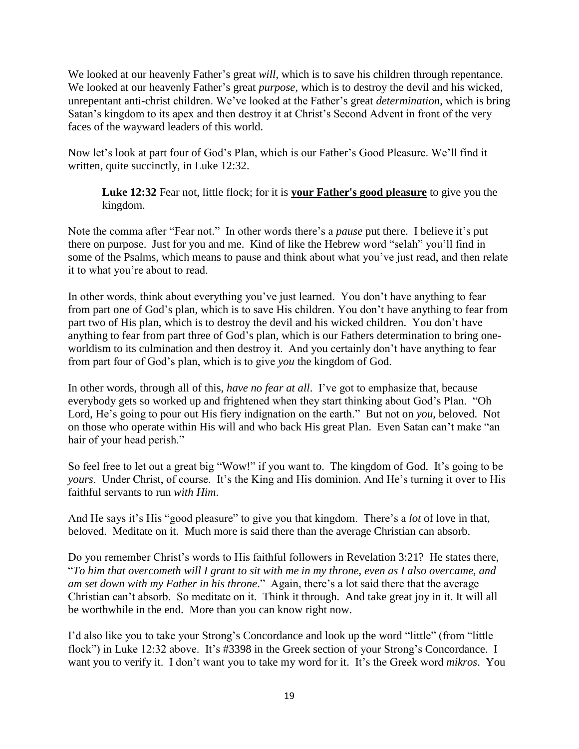We looked at our heavenly Father's great *will*, which is to save his children through repentance. We looked at our heavenly Father's great *purpose*, which is to destroy the devil and his wicked, unrepentant anti-christ children. We've looked at the Father's great *determination*, which is bring Satan's kingdom to its apex and then destroy it at Christ's Second Advent in front of the very faces of the wayward leaders of this world.

Now let's look at part four of God's Plan, which is our Father's Good Pleasure. We'll find it written, quite succinctly, in Luke 12:32.

**Luke 12:32** Fear not, little flock; for it is **your Father's good pleasure** to give you the kingdom.

Note the comma after "Fear not." In other words there's a *pause* put there. I believe it's put there on purpose. Just for you and me. Kind of like the Hebrew word "selah" you'll find in some of the Psalms, which means to pause and think about what you've just read, and then relate it to what you're about to read.

In other words, think about everything you've just learned. You don't have anything to fear from part one of God's plan, which is to save His children. You don't have anything to fear from part two of His plan, which is to destroy the devil and his wicked children. You don't have anything to fear from part three of God's plan, which is our Fathers determination to bring oneworldism to its culmination and then destroy it. And you certainly don't have anything to fear from part four of God's plan, which is to give *you* the kingdom of God.

In other words, through all of this, *have no fear at all*. I've got to emphasize that, because everybody gets so worked up and frightened when they start thinking about God's Plan. "Oh Lord, He's going to pour out His fiery indignation on the earth." But not on *you*, beloved. Not on those who operate within His will and who back His great Plan. Even Satan can't make "an hair of your head perish."

So feel free to let out a great big "Wow!" if you want to. The kingdom of God. It's going to be *yours*. Under Christ, of course. It's the King and His dominion. And He's turning it over to His faithful servants to run *with Him*.

And He says it's His "good pleasure" to give you that kingdom. There's a *lot* of love in that, beloved. Meditate on it. Much more is said there than the average Christian can absorb.

Do you remember Christ's words to His faithful followers in Revelation 3:21? He states there, "*To him that overcometh will I grant to sit with me in my throne, even as I also overcame, and am set down with my Father in his throne*." Again, there's a lot said there that the average Christian can't absorb. So meditate on it. Think it through. And take great joy in it. It will all be worthwhile in the end. More than you can know right now.

I'd also like you to take your Strong's Concordance and look up the word "little" (from "little flock") in Luke 12:32 above. It's #3398 in the Greek section of your Strong's Concordance. I want you to verify it. I don't want you to take my word for it. It's the Greek word *mikros*. You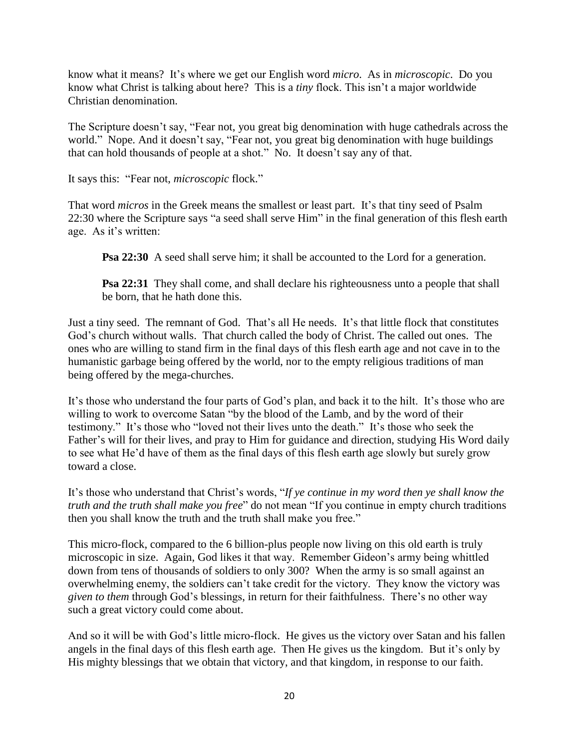know what it means? It's where we get our English word *micro*. As in *microscopic*. Do you know what Christ is talking about here? This is a *tiny* flock. This isn't a major worldwide Christian denomination.

The Scripture doesn't say, "Fear not, you great big denomination with huge cathedrals across the world." Nope. And it doesn't say, "Fear not, you great big denomination with huge buildings that can hold thousands of people at a shot." No. It doesn't say any of that.

It says this: "Fear not, *microscopic* flock."

That word *micros* in the Greek means the smallest or least part. It's that tiny seed of Psalm 22:30 where the Scripture says "a seed shall serve Him" in the final generation of this flesh earth age. As it's written:

**Psa 22:30** A seed shall serve him; it shall be accounted to the Lord for a generation.

**Psa 22:31** They shall come, and shall declare his righteousness unto a people that shall be born, that he hath done this.

Just a tiny seed. The remnant of God. That's all He needs. It's that little flock that constitutes God's church without walls. That church called the body of Christ. The called out ones. The ones who are willing to stand firm in the final days of this flesh earth age and not cave in to the humanistic garbage being offered by the world, nor to the empty religious traditions of man being offered by the mega-churches.

It's those who understand the four parts of God's plan, and back it to the hilt. It's those who are willing to work to overcome Satan "by the blood of the Lamb, and by the word of their testimony." It's those who "loved not their lives unto the death." It's those who seek the Father's will for their lives, and pray to Him for guidance and direction, studying His Word daily to see what He'd have of them as the final days of this flesh earth age slowly but surely grow toward a close.

It's those who understand that Christ's words, "*If ye continue in my word then ye shall know the truth and the truth shall make you free*" do not mean "If you continue in empty church traditions then you shall know the truth and the truth shall make you free."

This micro-flock, compared to the 6 billion-plus people now living on this old earth is truly microscopic in size. Again, God likes it that way. Remember Gideon's army being whittled down from tens of thousands of soldiers to only 300? When the army is so small against an overwhelming enemy, the soldiers can't take credit for the victory. They know the victory was *given to them* through God's blessings, in return for their faithfulness. There's no other way such a great victory could come about.

And so it will be with God's little micro-flock. He gives us the victory over Satan and his fallen angels in the final days of this flesh earth age. Then He gives us the kingdom. But it's only by His mighty blessings that we obtain that victory, and that kingdom, in response to our faith.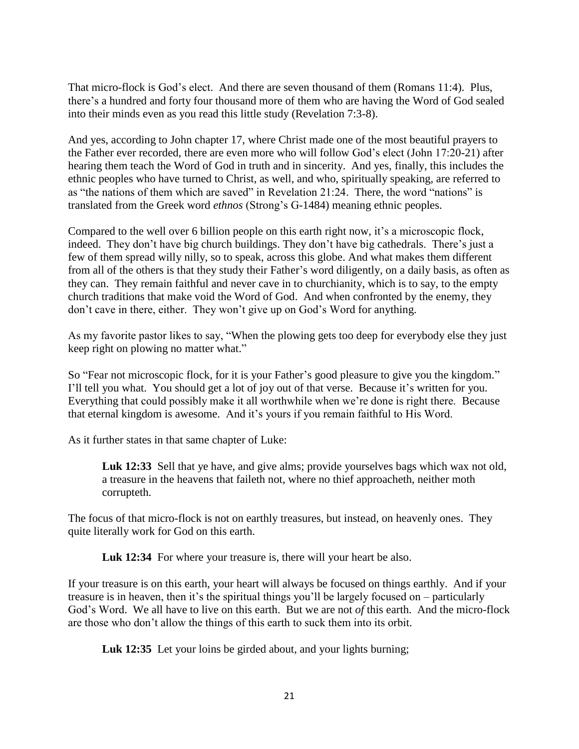That micro-flock is God's elect. And there are seven thousand of them (Romans 11:4). Plus, there's a hundred and forty four thousand more of them who are having the Word of God sealed into their minds even as you read this little study (Revelation 7:3-8).

And yes, according to John chapter 17, where Christ made one of the most beautiful prayers to the Father ever recorded, there are even more who will follow God's elect (John 17:20-21) after hearing them teach the Word of God in truth and in sincerity. And yes, finally, this includes the ethnic peoples who have turned to Christ, as well, and who, spiritually speaking, are referred to as "the nations of them which are saved" in Revelation 21:24. There, the word "nations" is translated from the Greek word *ethnos* (Strong's G-1484) meaning ethnic peoples.

Compared to the well over 6 billion people on this earth right now, it's a microscopic flock, indeed. They don't have big church buildings. They don't have big cathedrals. There's just a few of them spread willy nilly, so to speak, across this globe. And what makes them different from all of the others is that they study their Father's word diligently, on a daily basis, as often as they can. They remain faithful and never cave in to churchianity, which is to say, to the empty church traditions that make void the Word of God. And when confronted by the enemy, they don't cave in there, either. They won't give up on God's Word for anything.

As my favorite pastor likes to say, "When the plowing gets too deep for everybody else they just keep right on plowing no matter what."

So "Fear not microscopic flock, for it is your Father's good pleasure to give you the kingdom." I'll tell you what. You should get a lot of joy out of that verse. Because it's written for you. Everything that could possibly make it all worthwhile when we're done is right there. Because that eternal kingdom is awesome. And it's yours if you remain faithful to His Word.

As it further states in that same chapter of Luke:

**Luk 12:33** Sell that ye have, and give alms; provide yourselves bags which wax not old, a treasure in the heavens that faileth not, where no thief approacheth, neither moth corrupteth.

The focus of that micro-flock is not on earthly treasures, but instead, on heavenly ones. They quite literally work for God on this earth.

Luk 12:34 For where your treasure is, there will your heart be also.

If your treasure is on this earth, your heart will always be focused on things earthly. And if your treasure is in heaven, then it's the spiritual things you'll be largely focused on – particularly God's Word. We all have to live on this earth. But we are not *of* this earth. And the micro-flock are those who don't allow the things of this earth to suck them into its orbit.

Luk 12:35 Let your loins be girded about, and your lights burning;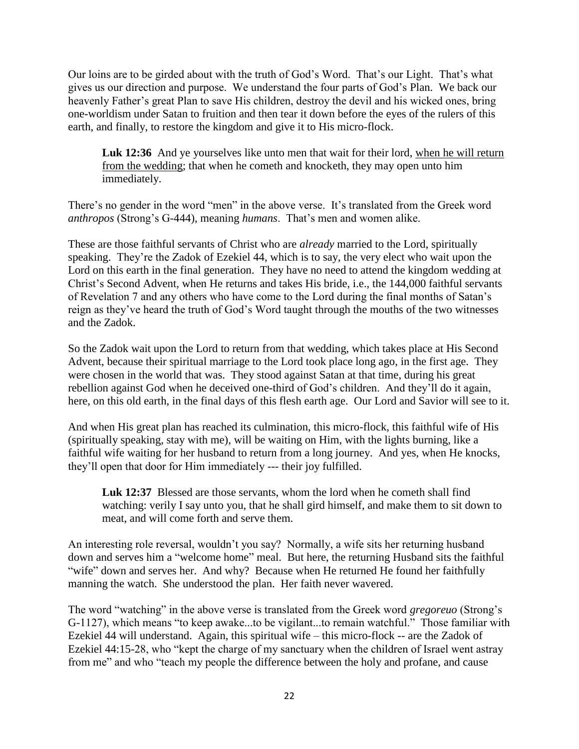Our loins are to be girded about with the truth of God's Word. That's our Light. That's what gives us our direction and purpose. We understand the four parts of God's Plan. We back our heavenly Father's great Plan to save His children, destroy the devil and his wicked ones, bring one-worldism under Satan to fruition and then tear it down before the eyes of the rulers of this earth, and finally, to restore the kingdom and give it to His micro-flock.

Luk 12:36 And ye yourselves like unto men that wait for their lord, when he will return from the wedding; that when he cometh and knocketh, they may open unto him immediately.

There's no gender in the word "men" in the above verse. It's translated from the Greek word *anthropos* (Strong's G-444), meaning *humans*. That's men and women alike.

These are those faithful servants of Christ who are *already* married to the Lord, spiritually speaking. They're the Zadok of Ezekiel 44, which is to say, the very elect who wait upon the Lord on this earth in the final generation. They have no need to attend the kingdom wedding at Christ's Second Advent, when He returns and takes His bride, i.e., the 144,000 faithful servants of Revelation 7 and any others who have come to the Lord during the final months of Satan's reign as they've heard the truth of God's Word taught through the mouths of the two witnesses and the Zadok.

So the Zadok wait upon the Lord to return from that wedding, which takes place at His Second Advent, because their spiritual marriage to the Lord took place long ago, in the first age. They were chosen in the world that was. They stood against Satan at that time, during his great rebellion against God when he deceived one-third of God's children. And they'll do it again, here, on this old earth, in the final days of this flesh earth age. Our Lord and Savior will see to it.

And when His great plan has reached its culmination, this micro-flock, this faithful wife of His (spiritually speaking, stay with me), will be waiting on Him, with the lights burning, like a faithful wife waiting for her husband to return from a long journey. And yes, when He knocks, they'll open that door for Him immediately --- their joy fulfilled.

**Luk 12:37** Blessed are those servants, whom the lord when he cometh shall find watching: verily I say unto you, that he shall gird himself, and make them to sit down to meat, and will come forth and serve them.

An interesting role reversal, wouldn't you say? Normally, a wife sits her returning husband down and serves him a "welcome home" meal. But here, the returning Husband sits the faithful "wife" down and serves her. And why? Because when He returned He found her faithfully manning the watch. She understood the plan. Her faith never wavered.

The word "watching" in the above verse is translated from the Greek word *gregoreuo* (Strong's G-1127), which means "to keep awake...to be vigilant...to remain watchful." Those familiar with Ezekiel 44 will understand. Again, this spiritual wife – this micro-flock -- are the Zadok of Ezekiel 44:15-28, who "kept the charge of my sanctuary when the children of Israel went astray from me" and who "teach my people the difference between the holy and profane, and cause